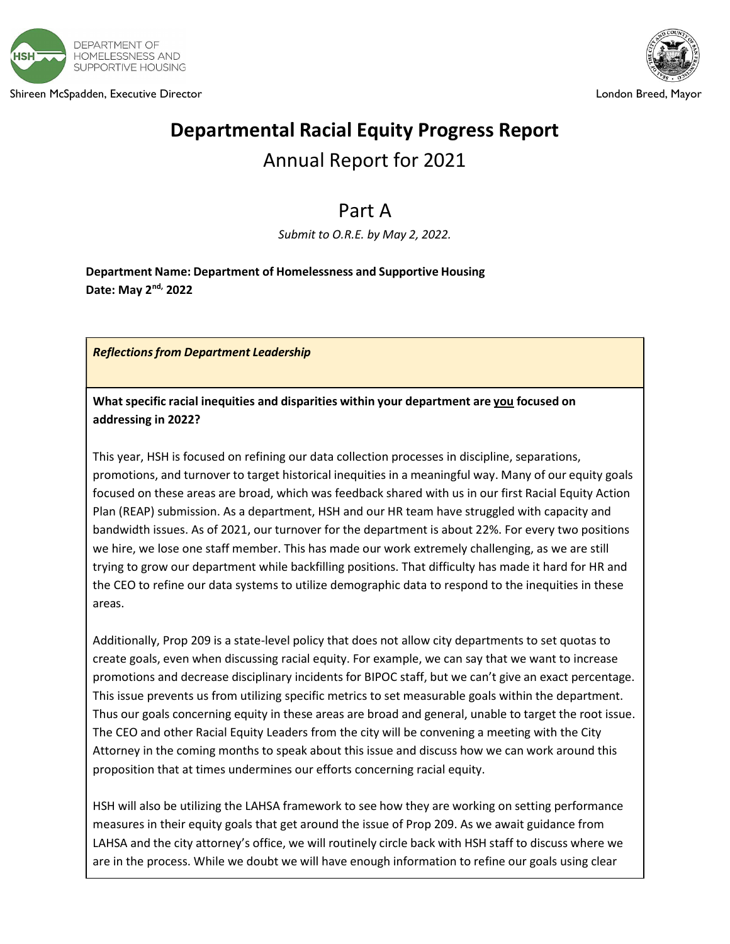

Shireen McSpadden, Executive Director London Breed, Mayor



# Departmental Racial Equity Progress Report Annual Report for 2021

## Part A

Submit to O.R.E. by May 2, 2022.

Department Name: Department of Homelessness and Supportive Housing Date: May 2<sup>nd,</sup> 2022

Reflections from Department Leadership

#### What specific racial inequities and disparities within your department are you focused on addressing in 2022?

This year, HSH is focused on refining our data collection processes in discipline, separations, promotions, and turnover to target historical inequities in a meaningful way. Many of our equity goals focused on these areas are broad, which was feedback shared with us in our first Racial Equity Action Plan (REAP) submission. As a department, HSH and our HR team have struggled with capacity and bandwidth issues. As of 2021, our turnover for the department is about 22%. For every two positions we hire, we lose one staff member. This has made our work extremely challenging, as we are still trying to grow our department while backfilling positions. That difficulty has made it hard for HR and the CEO to refine our data systems to utilize demographic data to respond to the inequities in these areas.

Additionally, Prop 209 is a state-level policy that does not allow city departments to set quotas to create goals, even when discussing racial equity. For example, we can say that we want to increase promotions and decrease disciplinary incidents for BIPOC staff, but we can't give an exact percentage. This issue prevents us from utilizing specific metrics to set measurable goals within the department. Thus our goals concerning equity in these areas are broad and general, unable to target the root issue. The CEO and other Racial Equity Leaders from the city will be convening a meeting with the City Attorney in the coming months to speak about this issue and discuss how we can work around this proposition that at times undermines our efforts concerning racial equity.

HSH will also be utilizing the LAHSA framework to see how they are working on setting performance measures in their equity goals that get around the issue of Prop 209. As we await guidance from LAHSA and the city attorney's office, we will routinely circle back with HSH staff to discuss where we are in the process. While we doubt we will have enough information to refine our goals using clear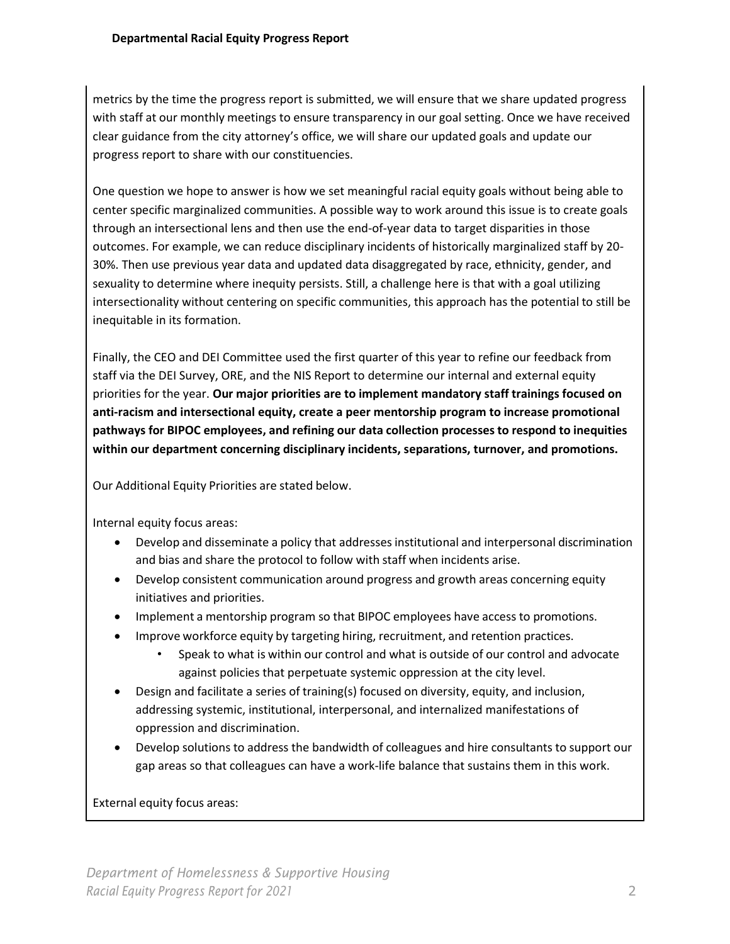metrics by the time the progress report is submitted, we will ensure that we share updated progress with staff at our monthly meetings to ensure transparency in our goal setting. Once we have received clear guidance from the city attorney's office, we will share our updated goals and update our progress report to share with our constituencies.

One question we hope to answer is how we set meaningful racial equity goals without being able to center specific marginalized communities. A possible way to work around this issue is to create goals through an intersectional lens and then use the end-of-year data to target disparities in those outcomes. For example, we can reduce disciplinary incidents of historically marginalized staff by 20- 30%. Then use previous year data and updated data disaggregated by race, ethnicity, gender, and sexuality to determine where inequity persists. Still, a challenge here is that with a goal utilizing intersectionality without centering on specific communities, this approach has the potential to still be inequitable in its formation.

Finally, the CEO and DEI Committee used the first quarter of this year to refine our feedback from staff via the DEI Survey, ORE, and the NIS Report to determine our internal and external equity priorities for the year. Our major priorities are to implement mandatory staff trainings focused on anti-racism and intersectional equity, create a peer mentorship program to increase promotional pathways for BIPOC employees, and refining our data collection processes to respond to inequities within our department concerning disciplinary incidents, separations, turnover, and promotions.

Our Additional Equity Priorities are stated below.

Internal equity focus areas:

- Develop and disseminate a policy that addresses institutional and interpersonal discrimination and bias and share the protocol to follow with staff when incidents arise.
- Develop consistent communication around progress and growth areas concerning equity initiatives and priorities.
- Implement a mentorship program so that BIPOC employees have access to promotions.
- Improve workforce equity by targeting hiring, recruitment, and retention practices.
	- Speak to what is within our control and what is outside of our control and advocate against policies that perpetuate systemic oppression at the city level.
- Design and facilitate a series of training(s) focused on diversity, equity, and inclusion, addressing systemic, institutional, interpersonal, and internalized manifestations of oppression and discrimination.
- Develop solutions to address the bandwidth of colleagues and hire consultants to support our gap areas so that colleagues can have a work-life balance that sustains them in this work.

External equity focus areas: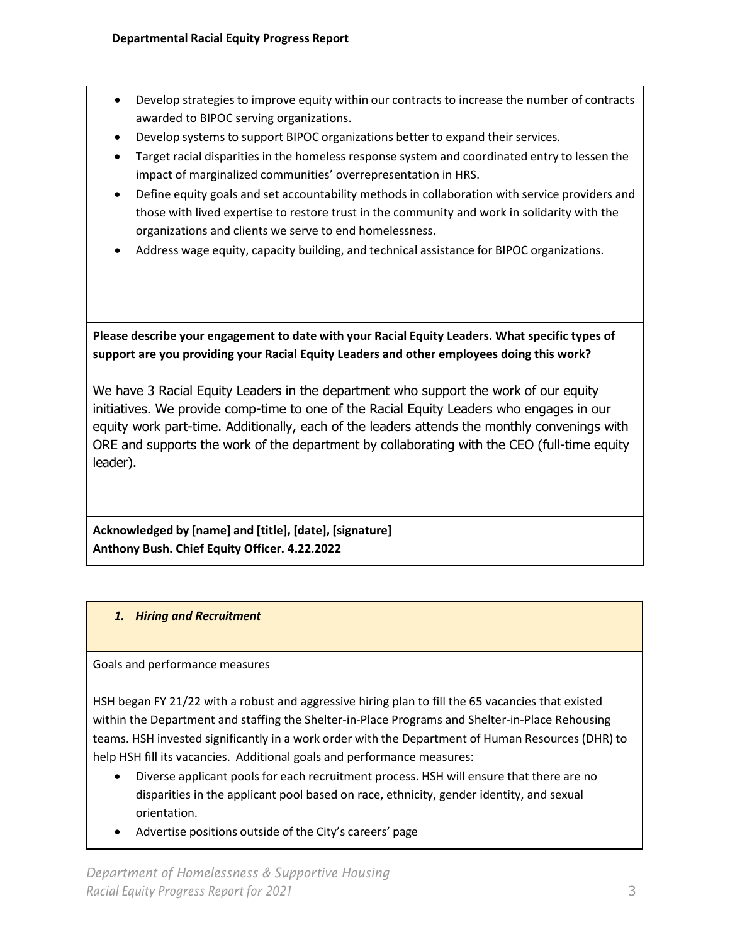- Develop strategies to improve equity within our contracts to increase the number of contracts awarded to BIPOC serving organizations.
- Develop systems to support BIPOC organizations better to expand their services.
- Target racial disparities in the homeless response system and coordinated entry to lessen the impact of marginalized communities' overrepresentation in HRS.
- Define equity goals and set accountability methods in collaboration with service providers and those with lived expertise to restore trust in the community and work in solidarity with the organizations and clients we serve to end homelessness.
- Address wage equity, capacity building, and technical assistance for BIPOC organizations.

Please describe your engagement to date with your Racial Equity Leaders. What specific types of support are you providing your Racial Equity Leaders and other employees doing this work?

We have 3 Racial Equity Leaders in the department who support the work of our equity initiatives. We provide comp-time to one of the Racial Equity Leaders who engages in our equity work part-time. Additionally, each of the leaders attends the monthly convenings with ORE and supports the work of the department by collaborating with the CEO (full-time equity leader).

Acknowledged by [name] and [title], [date], [signature] Anthony Bush. Chief Equity Officer. 4.22.2022

### 1. Hiring and Recruitment

#### Goals and performance measures

HSH began FY 21/22 with a robust and aggressive hiring plan to fill the 65 vacancies that existed within the Department and staffing the Shelter-in-Place Programs and Shelter-in-Place Rehousing teams. HSH invested significantly in a work order with the Department of Human Resources (DHR) to help HSH fill its vacancies. Additional goals and performance measures:

- Diverse applicant pools for each recruitment process. HSH will ensure that there are no disparities in the applicant pool based on race, ethnicity, gender identity, and sexual orientation.
- Advertise positions outside of the City's careers' page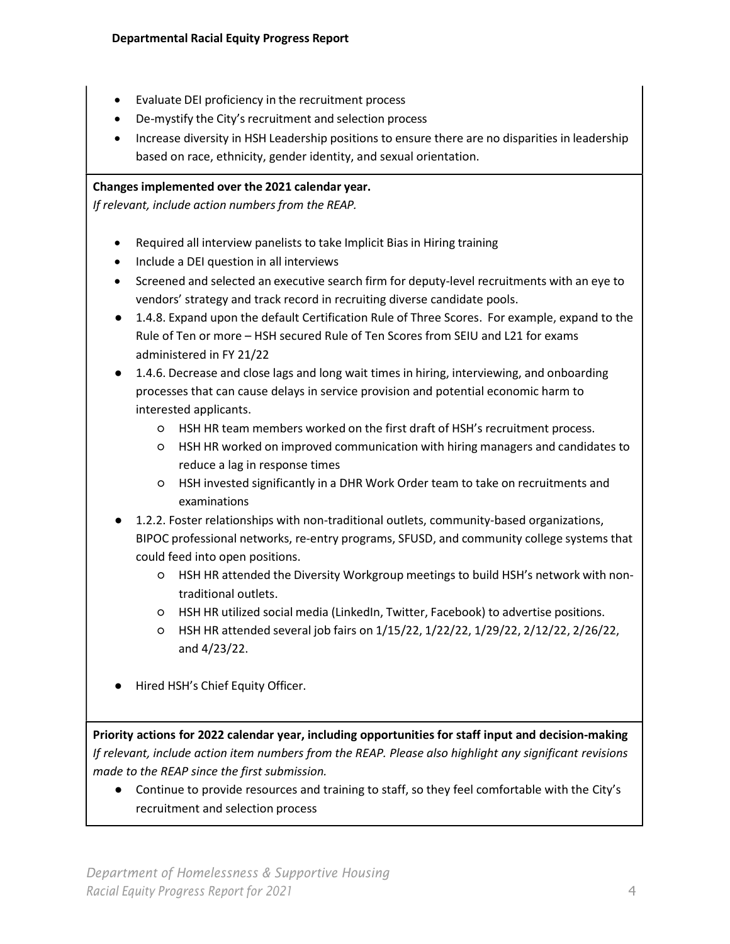- Evaluate DEI proficiency in the recruitment process
- De-mystify the City's recruitment and selection process
- Increase diversity in HSH Leadership positions to ensure there are no disparities in leadership based on race, ethnicity, gender identity, and sexual orientation.

#### Changes implemented over the 2021 calendar year.

If relevant, include action numbers from the REAP.

- Required all interview panelists to take Implicit Bias in Hiring training
- Include a DEI question in all interviews
- Screened and selected an executive search firm for deputy-level recruitments with an eye to vendors' strategy and track record in recruiting diverse candidate pools.
- 1.4.8. Expand upon the default Certification Rule of Three Scores. For example, expand to the Rule of Ten or more – HSH secured Rule of Ten Scores from SEIU and L21 for exams administered in FY 21/22
- 1.4.6. Decrease and close lags and long wait times in hiring, interviewing, and onboarding processes that can cause delays in service provision and potential economic harm to interested applicants.
	- HSH HR team members worked on the first draft of HSH's recruitment process.
	- HSH HR worked on improved communication with hiring managers and candidates to reduce a lag in response times
	- HSH invested significantly in a DHR Work Order team to take on recruitments and examinations
- 1.2.2. Foster relationships with non-traditional outlets, community-based organizations, BIPOC professional networks, re-entry programs, SFUSD, and community college systems that could feed into open positions.
	- HSH HR attended the Diversity Workgroup meetings to build HSH's network with nontraditional outlets.
	- HSH HR utilized social media (LinkedIn, Twitter, Facebook) to advertise positions.
	- HSH HR attended several job fairs on 1/15/22, 1/22/22, 1/29/22, 2/12/22, 2/26/22, and 4/23/22.
- Hired HSH's Chief Equity Officer.

Priority actions for 2022 calendar year, including opportunities for staff input and decision-making If relevant, include action item numbers from the REAP. Please also highlight any significant revisions made to the REAP since the first submission.

● Continue to provide resources and training to staff, so they feel comfortable with the City's recruitment and selection process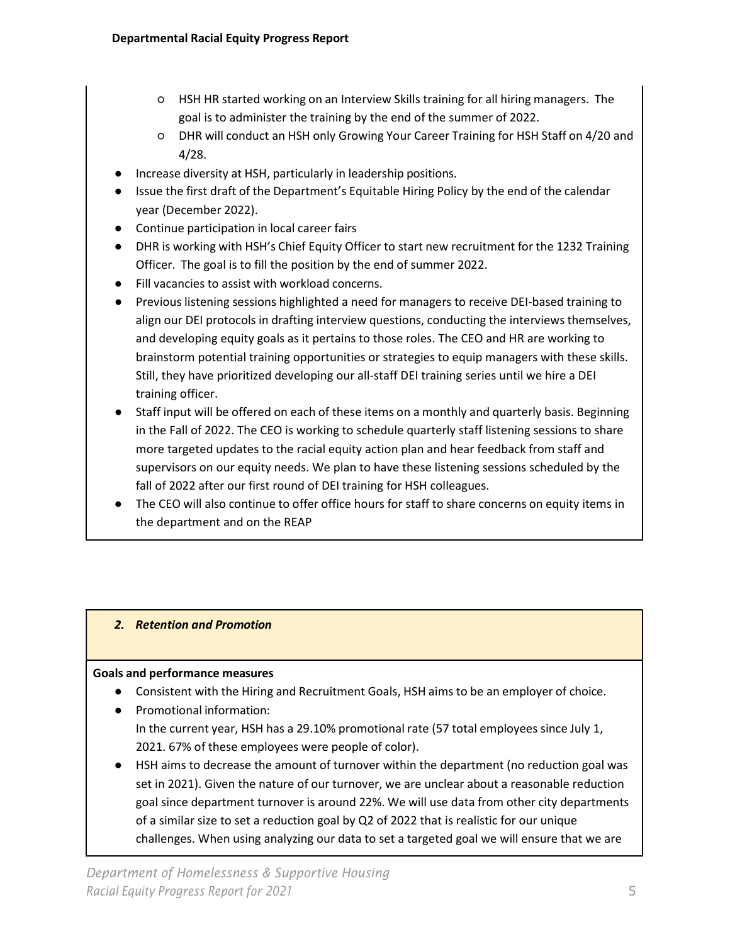- HSH HR started working on an Interview Skills training for all hiring managers. The goal is to administer the training by the end of the summer of 2022.
- DHR will conduct an HSH only Growing Your Career Training for HSH Staff on 4/20 and 4/28.
- Increase diversity at HSH, particularly in leadership positions.
- Issue the first draft of the Department's Equitable Hiring Policy by the end of the calendar year (December 2022).
- Continue participation in local career fairs
- DHR is working with HSH's Chief Equity Officer to start new recruitment for the 1232 Training Officer. The goal is to fill the position by the end of summer 2022.
- Fill vacancies to assist with workload concerns.
- Previous listening sessions highlighted a need for managers to receive DEI-based training to align our DEI protocols in drafting interview questions, conducting the interviews themselves, and developing equity goals as it pertains to those roles. The CEO and HR are working to brainstorm potential training opportunities or strategies to equip managers with these skills. Still, they have prioritized developing our all-staff DEI training series until we hire a DEI training officer.
- Staff input will be offered on each of these items on a monthly and quarterly basis. Beginning in the Fall of 2022. The CEO is working to schedule quarterly staff listening sessions to share more targeted updates to the racial equity action plan and hear feedback from staff and supervisors on our equity needs. We plan to have these listening sessions scheduled by the fall of 2022 after our first round of DEI training for HSH colleagues.
- The CEO will also continue to offer office hours for staff to share concerns on equity items in the department and on the REAP

#### 2. Retention and Promotion

- Consistent with the Hiring and Recruitment Goals, HSH aims to be an employer of choice.
- Promotional information: In the current year, HSH has a 29.10% promotional rate (57 total employees since July 1, 2021. 67% of these employees were people of color).
- HSH aims to decrease the amount of turnover within the department (no reduction goal was set in 2021). Given the nature of our turnover, we are unclear about a reasonable reduction goal since department turnover is around 22%. We will use data from other city departments of a similar size to set a reduction goal by Q2 of 2022 that is realistic for our unique challenges. When using analyzing our data to set a targeted goal we will ensure that we are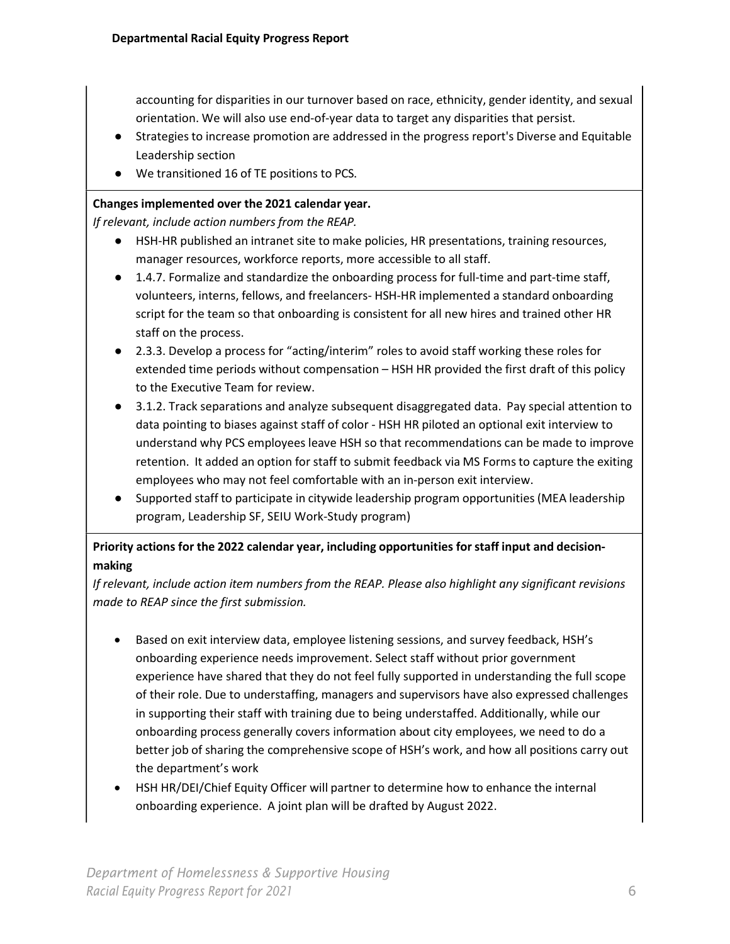accounting for disparities in our turnover based on race, ethnicity, gender identity, and sexual orientation. We will also use end-of-year data to target any disparities that persist.

- Strategies to increase promotion are addressed in the progress report's Diverse and Equitable Leadership section
- We transitioned 16 of TE positions to PCS.

#### Changes implemented over the 2021 calendar year.

If relevant, include action numbers from the REAP.

- HSH-HR published an intranet site to make policies, HR presentations, training resources, manager resources, workforce reports, more accessible to all staff.
- 1.4.7. Formalize and standardize the onboarding process for full-time and part-time staff, volunteers, interns, fellows, and freelancers- HSH-HR implemented a standard onboarding script for the team so that onboarding is consistent for all new hires and trained other HR staff on the process.
- 2.3.3. Develop a process for "acting/interim" roles to avoid staff working these roles for extended time periods without compensation – HSH HR provided the first draft of this policy to the Executive Team for review.
- 3.1.2. Track separations and analyze subsequent disaggregated data. Pay special attention to data pointing to biases against staff of color - HSH HR piloted an optional exit interview to understand why PCS employees leave HSH so that recommendations can be made to improve retention. It added an option for staff to submit feedback via MS Forms to capture the exiting employees who may not feel comfortable with an in-person exit interview.
- Supported staff to participate in citywide leadership program opportunities (MEA leadership program, Leadership SF, SEIU Work-Study program)

## Priority actions for the 2022 calendar year, including opportunities for staff input and decisionmaking

If relevant, include action item numbers from the REAP. Please also highlight any significant revisions made to REAP since the first submission.

- Based on exit interview data, employee listening sessions, and survey feedback, HSH's onboarding experience needs improvement. Select staff without prior government experience have shared that they do not feel fully supported in understanding the full scope of their role. Due to understaffing, managers and supervisors have also expressed challenges in supporting their staff with training due to being understaffed. Additionally, while our onboarding process generally covers information about city employees, we need to do a better job of sharing the comprehensive scope of HSH's work, and how all positions carry out the department's work
- HSH HR/DEI/Chief Equity Officer will partner to determine how to enhance the internal onboarding experience. A joint plan will be drafted by August 2022.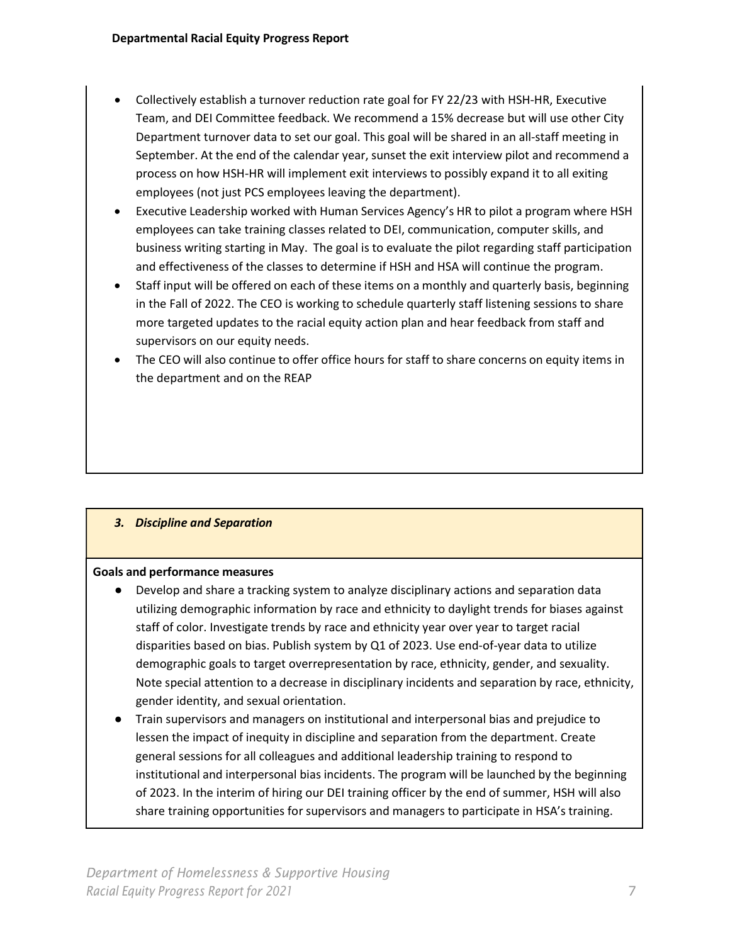- Collectively establish a turnover reduction rate goal for FY 22/23 with HSH-HR, Executive Team, and DEI Committee feedback. We recommend a 15% decrease but will use other City Department turnover data to set our goal. This goal will be shared in an all-staff meeting in September. At the end of the calendar year, sunset the exit interview pilot and recommend a process on how HSH-HR will implement exit interviews to possibly expand it to all exiting employees (not just PCS employees leaving the department).
- Executive Leadership worked with Human Services Agency's HR to pilot a program where HSH employees can take training classes related to DEI, communication, computer skills, and business writing starting in May. The goal is to evaluate the pilot regarding staff participation and effectiveness of the classes to determine if HSH and HSA will continue the program.
- Staff input will be offered on each of these items on a monthly and quarterly basis, beginning in the Fall of 2022. The CEO is working to schedule quarterly staff listening sessions to share more targeted updates to the racial equity action plan and hear feedback from staff and supervisors on our equity needs.
- The CEO will also continue to offer office hours for staff to share concerns on equity items in the department and on the REAP

#### 3. Discipline and Separation

- Develop and share a tracking system to analyze disciplinary actions and separation data utilizing demographic information by race and ethnicity to daylight trends for biases against staff of color. Investigate trends by race and ethnicity year over year to target racial disparities based on bias. Publish system by Q1 of 2023. Use end-of-year data to utilize demographic goals to target overrepresentation by race, ethnicity, gender, and sexuality. Note special attention to a decrease in disciplinary incidents and separation by race, ethnicity, gender identity, and sexual orientation.
- Train supervisors and managers on institutional and interpersonal bias and prejudice to lessen the impact of inequity in discipline and separation from the department. Create general sessions for all colleagues and additional leadership training to respond to institutional and interpersonal bias incidents. The program will be launched by the beginning of 2023. In the interim of hiring our DEI training officer by the end of summer, HSH will also share training opportunities for supervisors and managers to participate in HSA's training.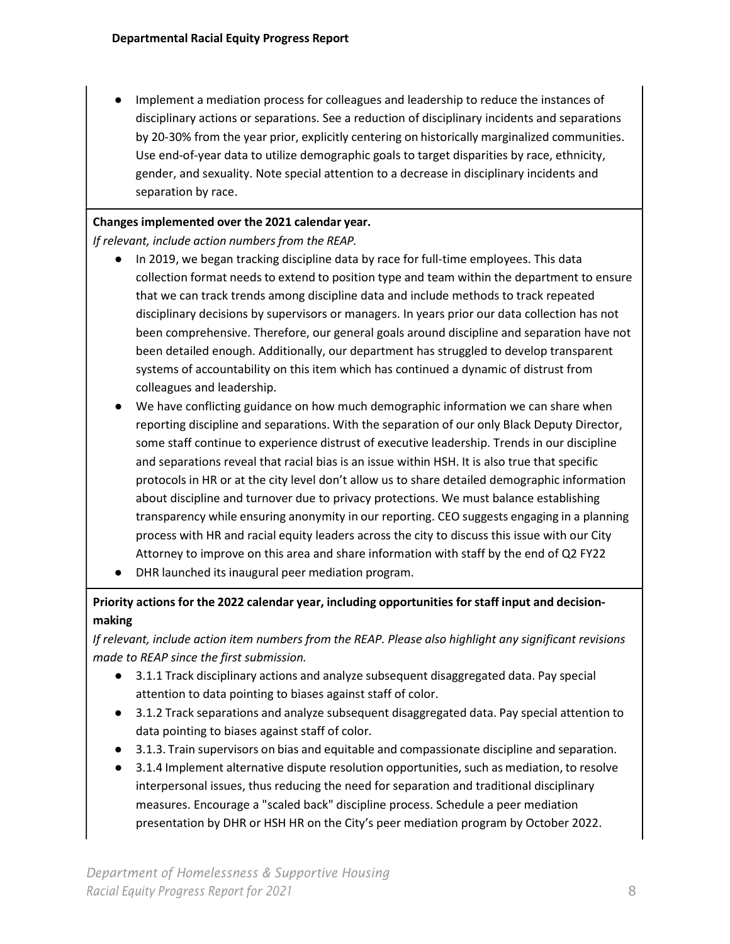Implement a mediation process for colleagues and leadership to reduce the instances of disciplinary actions or separations. See a reduction of disciplinary incidents and separations by 20-30% from the year prior, explicitly centering on historically marginalized communities. Use end-of-year data to utilize demographic goals to target disparities by race, ethnicity, gender, and sexuality. Note special attention to a decrease in disciplinary incidents and separation by race.

#### Changes implemented over the 2021 calendar year.

If relevant, include action numbers from the REAP.

- In 2019, we began tracking discipline data by race for full-time employees. This data collection format needs to extend to position type and team within the department to ensure that we can track trends among discipline data and include methods to track repeated disciplinary decisions by supervisors or managers. In years prior our data collection has not been comprehensive. Therefore, our general goals around discipline and separation have not been detailed enough. Additionally, our department has struggled to develop transparent systems of accountability on this item which has continued a dynamic of distrust from colleagues and leadership.
- We have conflicting guidance on how much demographic information we can share when reporting discipline and separations. With the separation of our only Black Deputy Director, some staff continue to experience distrust of executive leadership. Trends in our discipline and separations reveal that racial bias is an issue within HSH. It is also true that specific protocols in HR or at the city level don't allow us to share detailed demographic information about discipline and turnover due to privacy protections. We must balance establishing transparency while ensuring anonymity in our reporting. CEO suggests engaging in a planning process with HR and racial equity leaders across the city to discuss this issue with our City Attorney to improve on this area and share information with staff by the end of Q2 FY22
- DHR launched its inaugural peer mediation program.

## Priority actions for the 2022 calendar year, including opportunities for staff input and decisionmaking

If relevant, include action item numbers from the REAP. Please also highlight any significant revisions made to REAP since the first submission.

- 3.1.1 Track disciplinary actions and analyze subsequent disaggregated data. Pay special attention to data pointing to biases against staff of color.
- 3.1.2 Track separations and analyze subsequent disaggregated data. Pay special attention to data pointing to biases against staff of color.
- 3.1.3. Train supervisors on bias and equitable and compassionate discipline and separation.
- 3.1.4 Implement alternative dispute resolution opportunities, such as mediation, to resolve interpersonal issues, thus reducing the need for separation and traditional disciplinary measures. Encourage a "scaled back" discipline process. Schedule a peer mediation presentation by DHR or HSH HR on the City's peer mediation program by October 2022.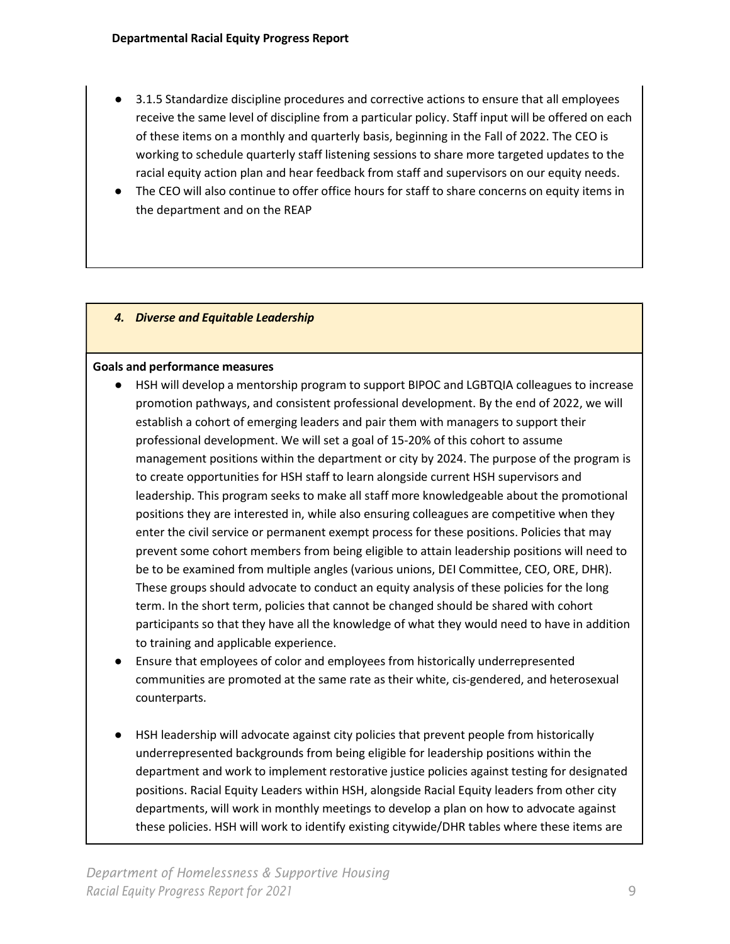- 3.1.5 Standardize discipline procedures and corrective actions to ensure that all employees receive the same level of discipline from a particular policy. Staff input will be offered on each of these items on a monthly and quarterly basis, beginning in the Fall of 2022. The CEO is working to schedule quarterly staff listening sessions to share more targeted updates to the racial equity action plan and hear feedback from staff and supervisors on our equity needs.
- The CEO will also continue to offer office hours for staff to share concerns on equity items in the department and on the REAP

#### 4. Diverse and Equitable Leadership

- HSH will develop a mentorship program to support BIPOC and LGBTQIA colleagues to increase promotion pathways, and consistent professional development. By the end of 2022, we will establish a cohort of emerging leaders and pair them with managers to support their professional development. We will set a goal of 15-20% of this cohort to assume management positions within the department or city by 2024. The purpose of the program is to create opportunities for HSH staff to learn alongside current HSH supervisors and leadership. This program seeks to make all staff more knowledgeable about the promotional positions they are interested in, while also ensuring colleagues are competitive when they enter the civil service or permanent exempt process for these positions. Policies that may prevent some cohort members from being eligible to attain leadership positions will need to be to be examined from multiple angles (various unions, DEI Committee, CEO, ORE, DHR). These groups should advocate to conduct an equity analysis of these policies for the long term. In the short term, policies that cannot be changed should be shared with cohort participants so that they have all the knowledge of what they would need to have in addition to training and applicable experience.
- Ensure that employees of color and employees from historically underrepresented communities are promoted at the same rate as their white, cis-gendered, and heterosexual counterparts.
- HSH leadership will advocate against city policies that prevent people from historically underrepresented backgrounds from being eligible for leadership positions within the department and work to implement restorative justice policies against testing for designated positions. Racial Equity Leaders within HSH, alongside Racial Equity leaders from other city departments, will work in monthly meetings to develop a plan on how to advocate against these policies. HSH will work to identify existing citywide/DHR tables where these items are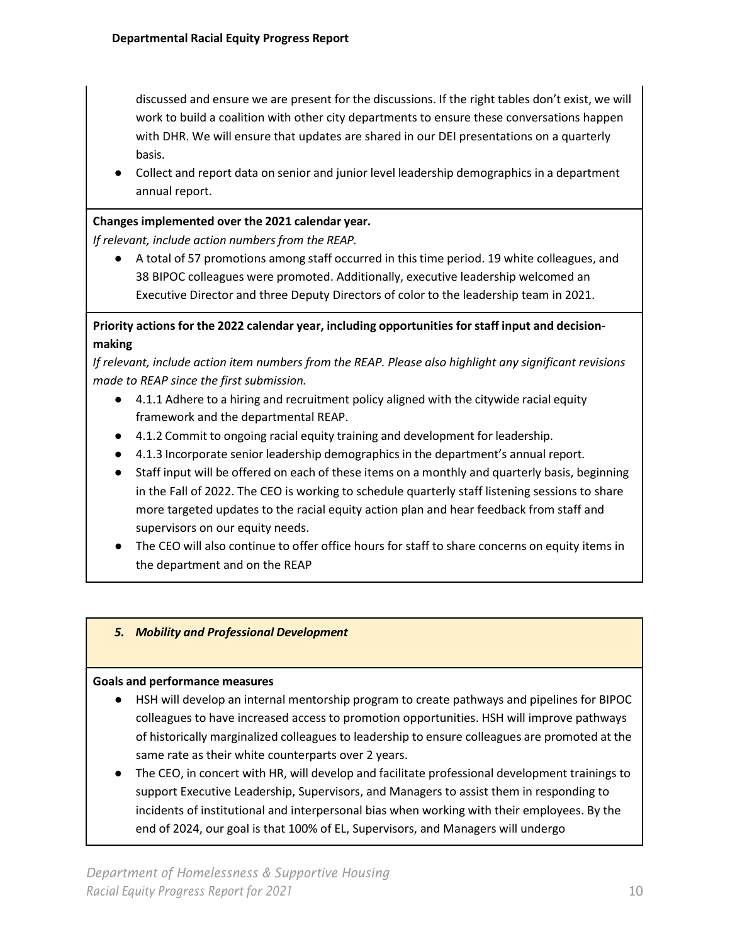discussed and ensure we are present for the discussions. If the right tables don't exist, we will work to build a coalition with other city departments to ensure these conversations happen with DHR. We will ensure that updates are shared in our DEI presentations on a quarterly basis.

● Collect and report data on senior and junior level leadership demographics in a department annual report.

#### Changes implemented over the 2021 calendar year.

If relevant, include action numbers from the REAP.

● A total of 57 promotions among staff occurred in this time period. 19 white colleagues, and 38 BIPOC colleagues were promoted. Additionally, executive leadership welcomed an Executive Director and three Deputy Directors of color to the leadership team in 2021.

## Priority actions for the 2022 calendar year, including opportunities for staff input and decisionmaking

If relevant, include action item numbers from the REAP. Please also highlight any significant revisions made to REAP since the first submission.

- 4.1.1 Adhere to a hiring and recruitment policy aligned with the citywide racial equity framework and the departmental REAP.
- 4.1.2 Commit to ongoing racial equity training and development for leadership.
- 4.1.3 Incorporate senior leadership demographics in the department's annual report.
- Staff input will be offered on each of these items on a monthly and quarterly basis, beginning in the Fall of 2022. The CEO is working to schedule quarterly staff listening sessions to share more targeted updates to the racial equity action plan and hear feedback from staff and supervisors on our equity needs.
- The CEO will also continue to offer office hours for staff to share concerns on equity items in the department and on the REAP

#### 5. Mobility and Professional Development

- HSH will develop an internal mentorship program to create pathways and pipelines for BIPOC colleagues to have increased access to promotion opportunities. HSH will improve pathways of historically marginalized colleagues to leadership to ensure colleagues are promoted at the same rate as their white counterparts over 2 years.
- The CEO, in concert with HR, will develop and facilitate professional development trainings to support Executive Leadership, Supervisors, and Managers to assist them in responding to incidents of institutional and interpersonal bias when working with their employees. By the end of 2024, our goal is that 100% of EL, Supervisors, and Managers will undergo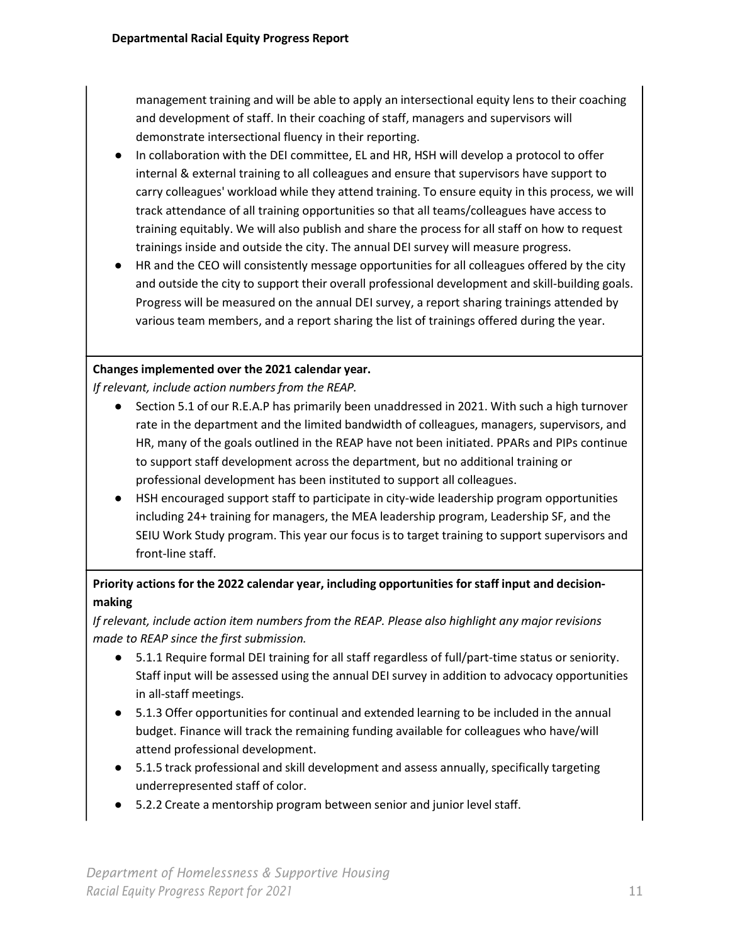management training and will be able to apply an intersectional equity lens to their coaching and development of staff. In their coaching of staff, managers and supervisors will demonstrate intersectional fluency in their reporting.

- In collaboration with the DEI committee, EL and HR, HSH will develop a protocol to offer internal & external training to all colleagues and ensure that supervisors have support to carry colleagues' workload while they attend training. To ensure equity in this process, we will track attendance of all training opportunities so that all teams/colleagues have access to training equitably. We will also publish and share the process for all staff on how to request trainings inside and outside the city. The annual DEI survey will measure progress.
- HR and the CEO will consistently message opportunities for all colleagues offered by the city and outside the city to support their overall professional development and skill-building goals. Progress will be measured on the annual DEI survey, a report sharing trainings attended by various team members, and a report sharing the list of trainings offered during the year.

#### Changes implemented over the 2021 calendar year.

If relevant, include action numbers from the REAP.

- Section 5.1 of our R.E.A.P has primarily been unaddressed in 2021. With such a high turnover rate in the department and the limited bandwidth of colleagues, managers, supervisors, and HR, many of the goals outlined in the REAP have not been initiated. PPARs and PIPs continue to support staff development across the department, but no additional training or professional development has been instituted to support all colleagues.
- HSH encouraged support staff to participate in city-wide leadership program opportunities including 24+ training for managers, the MEA leadership program, Leadership SF, and the SEIU Work Study program. This year our focus is to target training to support supervisors and front-line staff.

## Priority actions for the 2022 calendar year, including opportunities for staff input and decisionmaking

If relevant, include action item numbers from the REAP. Please also highlight any major revisions made to REAP since the first submission.

- 5.1.1 Require formal DEI training for all staff regardless of full/part-time status or seniority. Staff input will be assessed using the annual DEI survey in addition to advocacy opportunities in all-staff meetings.
- 5.1.3 Offer opportunities for continual and extended learning to be included in the annual budget. Finance will track the remaining funding available for colleagues who have/will attend professional development.
- 5.1.5 track professional and skill development and assess annually, specifically targeting underrepresented staff of color.
- 5.2.2 Create a mentorship program between senior and junior level staff.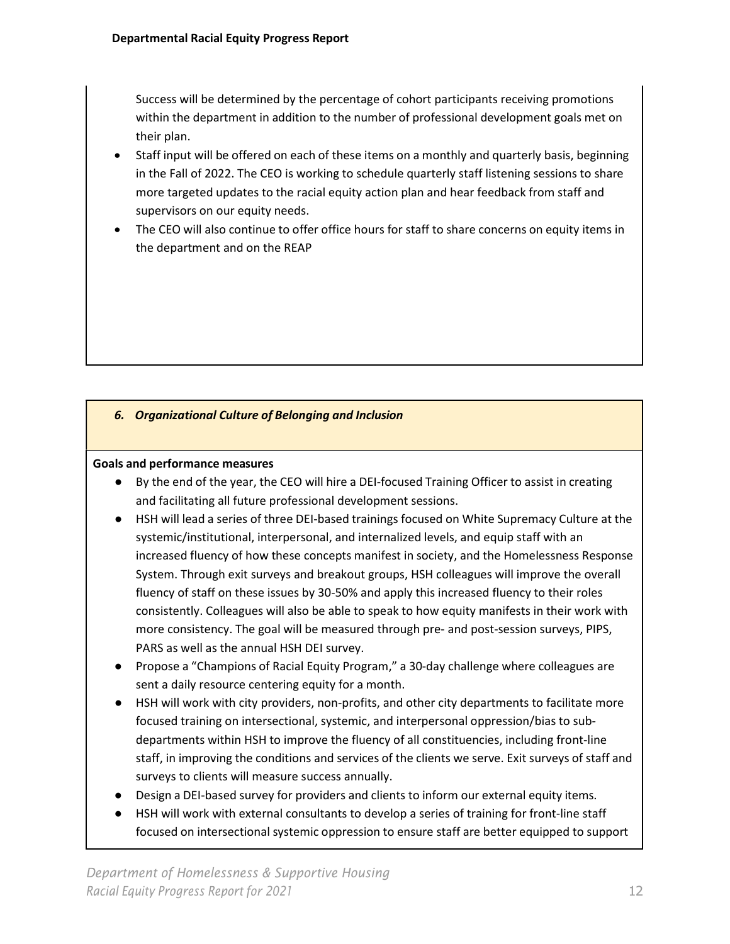Success will be determined by the percentage of cohort participants receiving promotions within the department in addition to the number of professional development goals met on their plan.

- Staff input will be offered on each of these items on a monthly and quarterly basis, beginning in the Fall of 2022. The CEO is working to schedule quarterly staff listening sessions to share more targeted updates to the racial equity action plan and hear feedback from staff and supervisors on our equity needs.
- The CEO will also continue to offer office hours for staff to share concerns on equity items in the department and on the REAP

#### 6. Organizational Culture of Belonging and Inclusion

- By the end of the year, the CEO will hire a DEI-focused Training Officer to assist in creating and facilitating all future professional development sessions.
- HSH will lead a series of three DEI-based trainings focused on White Supremacy Culture at the systemic/institutional, interpersonal, and internalized levels, and equip staff with an increased fluency of how these concepts manifest in society, and the Homelessness Response System. Through exit surveys and breakout groups, HSH colleagues will improve the overall fluency of staff on these issues by 30-50% and apply this increased fluency to their roles consistently. Colleagues will also be able to speak to how equity manifests in their work with more consistency. The goal will be measured through pre- and post-session surveys, PIPS, PARS as well as the annual HSH DEI survey.
- Propose a "Champions of Racial Equity Program," a 30-day challenge where colleagues are sent a daily resource centering equity for a month.
- HSH will work with city providers, non-profits, and other city departments to facilitate more focused training on intersectional, systemic, and interpersonal oppression/bias to subdepartments within HSH to improve the fluency of all constituencies, including front-line staff, in improving the conditions and services of the clients we serve. Exit surveys of staff and surveys to clients will measure success annually.
- Design a DEI-based survey for providers and clients to inform our external equity items.
- HSH will work with external consultants to develop a series of training for front-line staff focused on intersectional systemic oppression to ensure staff are better equipped to support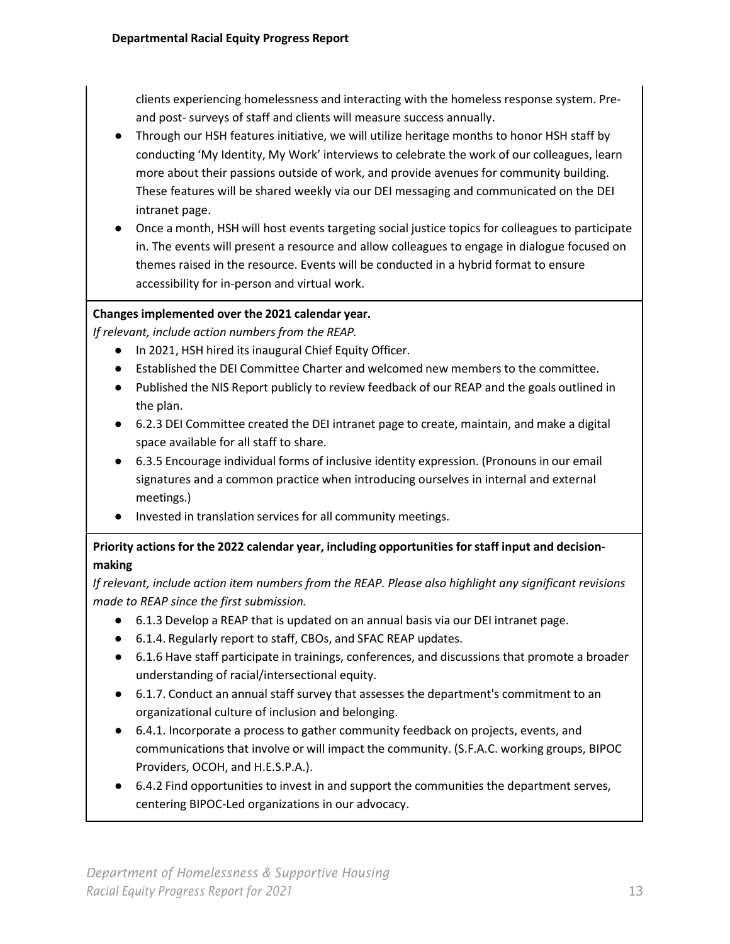clients experiencing homelessness and interacting with the homeless response system. Preand post- surveys of staff and clients will measure success annually.

- Through our HSH features initiative, we will utilize heritage months to honor HSH staff by conducting 'My Identity, My Work' interviews to celebrate the work of our colleagues, learn more about their passions outside of work, and provide avenues for community building. These features will be shared weekly via our DEI messaging and communicated on the DEI intranet page.
- Once a month, HSH will host events targeting social justice topics for colleagues to participate in. The events will present a resource and allow colleagues to engage in dialogue focused on themes raised in the resource. Events will be conducted in a hybrid format to ensure accessibility for in-person and virtual work.

## Changes implemented over the 2021 calendar year.

If relevant, include action numbers from the REAP.

- In 2021, HSH hired its inaugural Chief Equity Officer.
- Established the DEI Committee Charter and welcomed new members to the committee.
- Published the NIS Report publicly to review feedback of our REAP and the goals outlined in the plan.
- 6.2.3 DEI Committee created the DEI intranet page to create, maintain, and make a digital space available for all staff to share.
- 6.3.5 Encourage individual forms of inclusive identity expression. (Pronouns in our email signatures and a common practice when introducing ourselves in internal and external meetings.)
- Invested in translation services for all community meetings.

## Priority actions for the 2022 calendar year, including opportunities for staff input and decisionmaking

If relevant, include action item numbers from the REAP. Please also highlight any significant revisions made to REAP since the first submission.

- 6.1.3 Develop a REAP that is updated on an annual basis via our DEI intranet page.
- 6.1.4. Regularly report to staff, CBOs, and SFAC REAP updates.
- 6.1.6 Have staff participate in trainings, conferences, and discussions that promote a broader understanding of racial/intersectional equity.
- 6.1.7. Conduct an annual staff survey that assesses the department's commitment to an organizational culture of inclusion and belonging.
- 6.4.1. Incorporate a process to gather community feedback on projects, events, and communications that involve or will impact the community. (S.F.A.C. working groups, BIPOC Providers, OCOH, and H.E.S.P.A.).
- 6.4.2 Find opportunities to invest in and support the communities the department serves, centering BIPOC-Led organizations in our advocacy.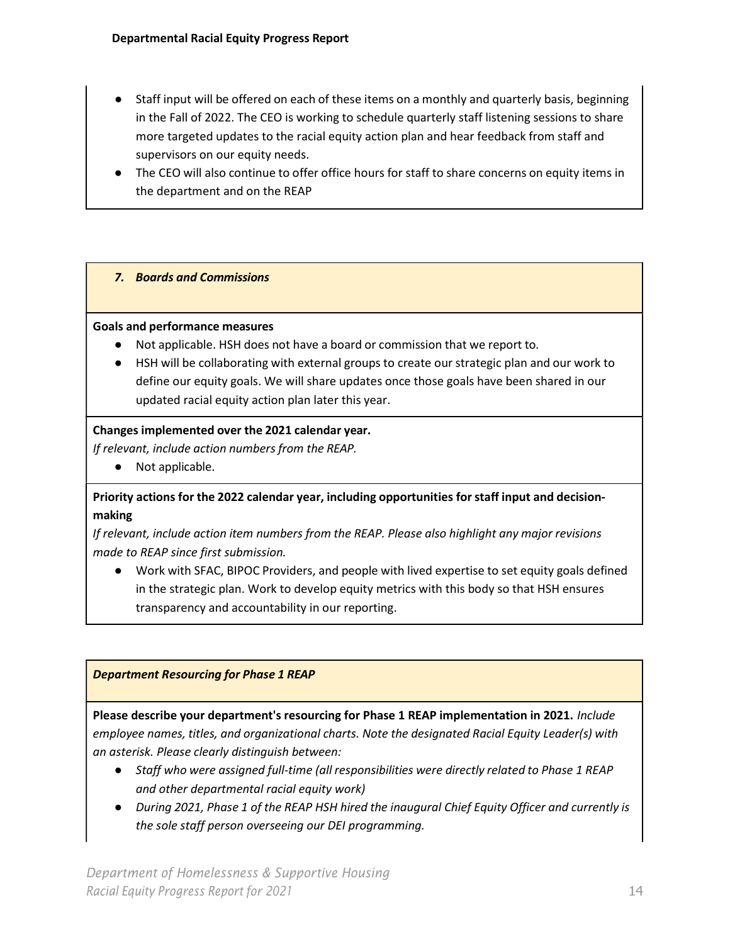- Staff input will be offered on each of these items on a monthly and quarterly basis, beginning in the Fall of 2022. The CEO is working to schedule quarterly staff listening sessions to share more targeted updates to the racial equity action plan and hear feedback from staff and supervisors on our equity needs.
- The CEO will also continue to offer office hours for staff to share concerns on equity items in the department and on the REAP

#### 7. Boards and Commissions

#### Goals and performance measures

- Not applicable. HSH does not have a board or commission that we report to.
- HSH will be collaborating with external groups to create our strategic plan and our work to define our equity goals. We will share updates once those goals have been shared in our updated racial equity action plan later this year.

#### Changes implemented over the 2021 calendar year.

If relevant, include action numbers from the REAP.

● Not applicable.

Priority actions for the 2022 calendar year, including opportunities for staff input and decisionmaking

If relevant, include action item numbers from the REAP. Please also highlight any major revisions made to REAP since first submission.

● Work with SFAC, BIPOC Providers, and people with lived expertise to set equity goals defined in the strategic plan. Work to develop equity metrics with this body so that HSH ensures transparency and accountability in our reporting.

#### Department Resourcing for Phase 1 REAP

Please describe your department's resourcing for Phase 1 REAP implementation in 2021. Include employee names, titles, and organizational charts. Note the designated Racial Equity Leader(s) with an asterisk. Please clearly distinguish between:

- Staff who were assigned full-time (all responsibilities were directly related to Phase 1 REAP and other departmental racial equity work)
- During 2021, Phase 1 of the REAP HSH hired the inaugural Chief Equity Officer and currently is the sole staff person overseeing our DEI programming.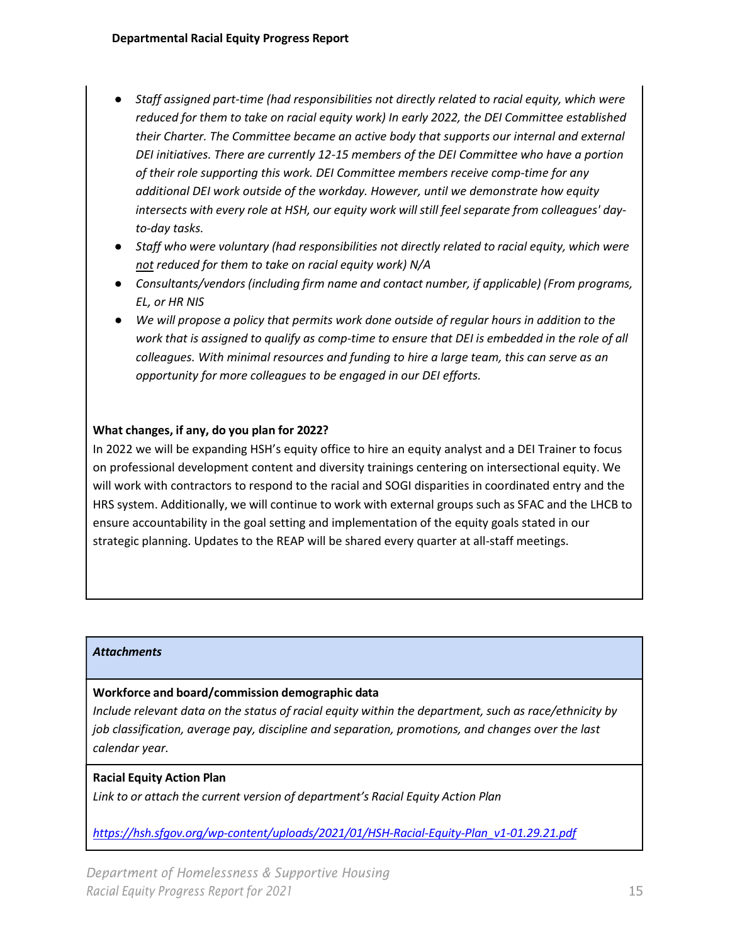- Staff assigned part-time (had responsibilities not directly related to racial equity, which were reduced for them to take on racial equity work) In early 2022, the DEI Committee established their Charter. The Committee became an active body that supports our internal and external DEI initiatives. There are currently 12-15 members of the DEI Committee who have a portion of their role supporting this work. DEI Committee members receive comp-time for any additional DEI work outside of the workday. However, until we demonstrate how equity intersects with every role at HSH, our equity work will still feel separate from colleagues' dayto-day tasks.
- Staff who were voluntary (had responsibilities not directly related to racial equity, which were not reduced for them to take on racial equity work) N/A
- Consultants/vendors (including firm name and contact number, if applicable) (From programs, EL, or HR NIS
- We will propose a policy that permits work done outside of regular hours in addition to the work that is assigned to qualify as comp-time to ensure that DEI is embedded in the role of all colleagues. With minimal resources and funding to hire a large team, this can serve as an opportunity for more colleagues to be engaged in our DEI efforts.

#### What changes, if any, do you plan for 2022?

In 2022 we will be expanding HSH's equity office to hire an equity analyst and a DEI Trainer to focus on professional development content and diversity trainings centering on intersectional equity. We will work with contractors to respond to the racial and SOGI disparities in coordinated entry and the HRS system. Additionally, we will continue to work with external groups such as SFAC and the LHCB to ensure accountability in the goal setting and implementation of the equity goals stated in our strategic planning. Updates to the REAP will be shared every quarter at all-staff meetings.

#### **Attachments**

#### Workforce and board/commission demographic data

Include relevant data on the status of racial equity within the department, such as race/ethnicity by job classification, average pay, discipline and separation, promotions, and changes over the last calendar year.

#### Racial Equity Action Plan

Link to or attach the current version of department's Racial Equity Action Plan

https://hsh.sfgov.org/wp-content/uploads/2021/01/HSH-Racial-Equity-Plan\_v1-01.29.21.pdf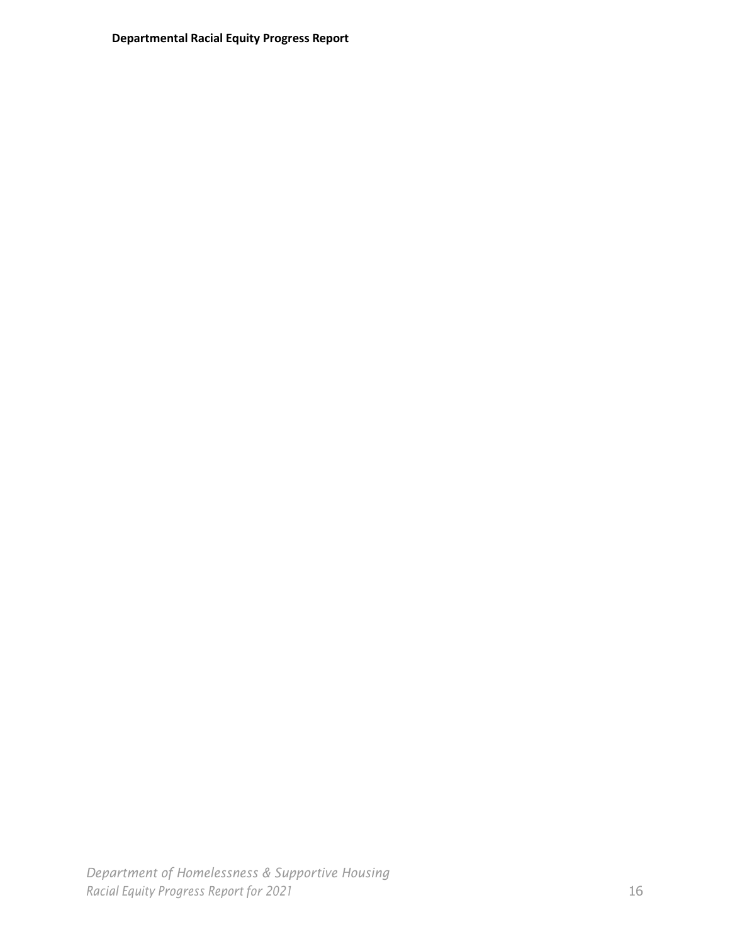Departmental Racial Equity Progress Report